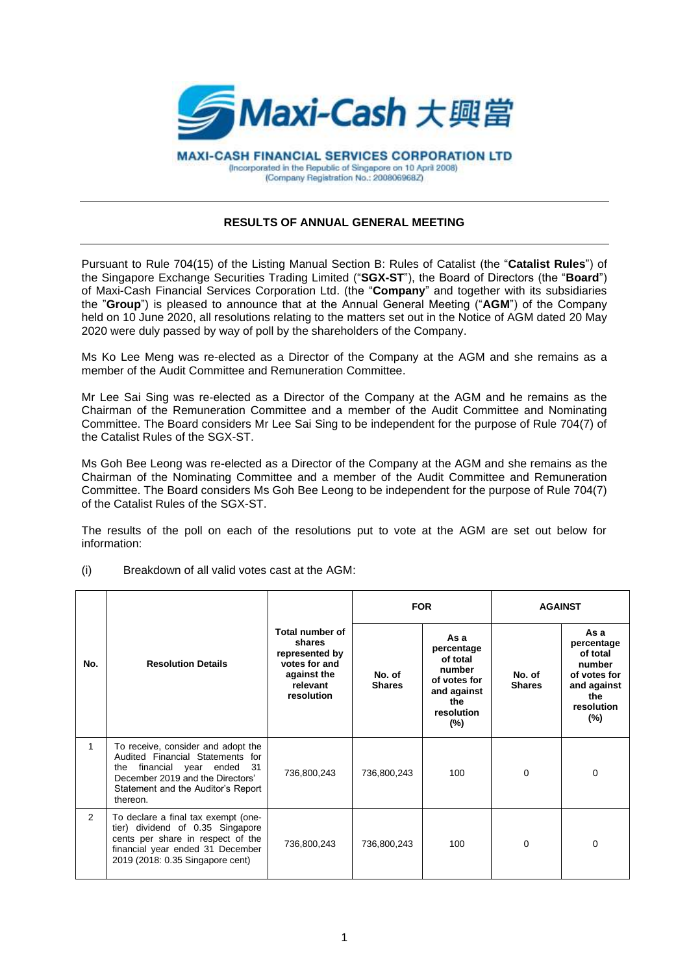

**MAXI-CASH FINANCIAL SERVICES CORPORATION LTD** (Incorporated in the Republic of Singapore on 10 April 2008) (Company Registration No.: 200806968Z)

## **RESULTS OF ANNUAL GENERAL MEETING**

Pursuant to Rule 704(15) of the Listing Manual Section B: Rules of Catalist (the "**Catalist Rules**") of the Singapore Exchange Securities Trading Limited ("**SGX-ST**"), the Board of Directors (the "**Board**") of Maxi-Cash Financial Services Corporation Ltd. (the "**Company**" and together with its subsidiaries the "**Group**") is pleased to announce that at the Annual General Meeting ("**AGM**") of the Company held on 10 June 2020, all resolutions relating to the matters set out in the Notice of AGM dated 20 May 2020 were duly passed by way of poll by the shareholders of the Company.

Ms Ko Lee Meng was re-elected as a Director of the Company at the AGM and she remains as a member of the Audit Committee and Remuneration Committee.

Mr Lee Sai Sing was re-elected as a Director of the Company at the AGM and he remains as the Chairman of the Remuneration Committee and a member of the Audit Committee and Nominating Committee. The Board considers Mr Lee Sai Sing to be independent for the purpose of Rule 704(7) of the Catalist Rules of the SGX-ST.

Ms Goh Bee Leong was re-elected as a Director of the Company at the AGM and she remains as the Chairman of the Nominating Committee and a member of the Audit Committee and Remuneration Committee. The Board considers Ms Goh Bee Leong to be independent for the purpose of Rule 704(7) of the Catalist Rules of the SGX-ST.

The results of the poll on each of the resolutions put to vote at the AGM are set out below for information:

(i) Breakdown of all valid votes cast at the AGM:

|                |                                                                                                                                                                                                  |                                                                                                       | <b>FOR</b>              |                                                                                                        | <b>AGAINST</b>          |                                                                                                        |
|----------------|--------------------------------------------------------------------------------------------------------------------------------------------------------------------------------------------------|-------------------------------------------------------------------------------------------------------|-------------------------|--------------------------------------------------------------------------------------------------------|-------------------------|--------------------------------------------------------------------------------------------------------|
| No.            | <b>Resolution Details</b>                                                                                                                                                                        | Total number of<br>shares<br>represented by<br>votes for and<br>against the<br>relevant<br>resolution | No. of<br><b>Shares</b> | As a<br>percentage<br>of total<br>number<br>of votes for<br>and against<br>the<br>resolution<br>$(\%)$ | No. of<br><b>Shares</b> | As a<br>percentage<br>of total<br>number<br>of votes for<br>and against<br>the<br>resolution<br>$(\%)$ |
| 1              | To receive, consider and adopt the<br>Audited Financial Statements for<br>the financial year ended<br>- 31<br>December 2019 and the Directors'<br>Statement and the Auditor's Report<br>thereon. | 736,800,243                                                                                           | 736,800,243             | 100                                                                                                    | $\Omega$                | $\Omega$                                                                                               |
| $\overline{2}$ | To declare a final tax exempt (one-<br>tier) dividend of 0.35 Singapore<br>cents per share in respect of the<br>financial year ended 31 December<br>2019 (2018: 0.35 Singapore cent)             | 736,800,243                                                                                           | 736,800,243             | 100                                                                                                    | $\Omega$                | $\Omega$                                                                                               |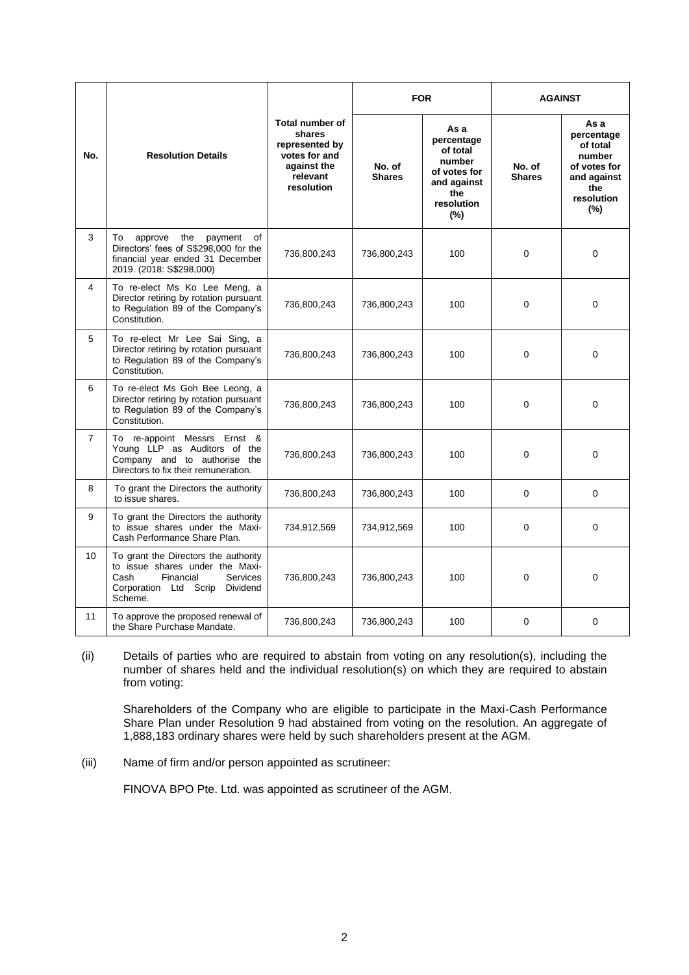| No.            | <b>Resolution Details</b>                                                                                                                                       | <b>Total number of</b><br>shares<br>represented by<br>votes for and<br>against the<br>relevant<br>resolution | <b>FOR</b>              |                                                                                                        | <b>AGAINST</b>          |                                                                                                        |
|----------------|-----------------------------------------------------------------------------------------------------------------------------------------------------------------|--------------------------------------------------------------------------------------------------------------|-------------------------|--------------------------------------------------------------------------------------------------------|-------------------------|--------------------------------------------------------------------------------------------------------|
|                |                                                                                                                                                                 |                                                                                                              | No. of<br><b>Shares</b> | As a<br>percentage<br>of total<br>number<br>of votes for<br>and against<br>the<br>resolution<br>$(\%)$ | No. of<br><b>Shares</b> | As a<br>percentage<br>of total<br>number<br>of votes for<br>and against<br>the<br>resolution<br>$(\%)$ |
| 3              | the<br>To<br>approve<br>payment<br>of<br>Directors' fees of S\$298,000 for the<br>financial year ended 31 December<br>2019. (2018: S\$298,000)                  | 736,800,243                                                                                                  | 736,800,243             | 100                                                                                                    | $\Omega$                | $\Omega$                                                                                               |
| 4              | To re-elect Ms Ko Lee Meng, a<br>Director retiring by rotation pursuant<br>to Regulation 89 of the Company's<br>Constitution.                                   | 736,800,243                                                                                                  | 736,800,243             | 100                                                                                                    | 0                       | 0                                                                                                      |
| 5              | To re-elect Mr Lee Sai Sing, a<br>Director retiring by rotation pursuant<br>to Regulation 89 of the Company's<br>Constitution.                                  | 736,800,243                                                                                                  | 736,800,243             | 100                                                                                                    | 0                       | 0                                                                                                      |
| 6              | To re-elect Ms Goh Bee Leong, a<br>Director retiring by rotation pursuant<br>to Regulation 89 of the Company's<br>Constitution.                                 | 736,800,243                                                                                                  | 736,800,243             | 100                                                                                                    | $\Omega$                | 0                                                                                                      |
| $\overline{7}$ | To re-appoint Messrs Ernst &<br>Young LLP as Auditors of the<br>Company and to authorise the<br>Directors to fix their remuneration.                            | 736,800,243                                                                                                  | 736,800,243             | 100                                                                                                    | 0                       | 0                                                                                                      |
| 8              | To grant the Directors the authority<br>to issue shares.                                                                                                        | 736,800,243                                                                                                  | 736,800,243             | 100                                                                                                    | 0                       | 0                                                                                                      |
| 9              | To grant the Directors the authority<br>to issue shares under the Maxi-<br>Cash Performance Share Plan.                                                         | 734,912,569                                                                                                  | 734,912,569             | 100                                                                                                    | $\Omega$                | $\Omega$                                                                                               |
| 10             | To grant the Directors the authority<br>to issue shares under the Maxi-<br>Cash<br>Financial<br><b>Services</b><br>Corporation Ltd Scrip<br>Dividend<br>Scheme. | 736,800,243                                                                                                  | 736,800,243             | 100                                                                                                    | $\Omega$                | $\overline{0}$                                                                                         |
| 11             | To approve the proposed renewal of<br>the Share Purchase Mandate.                                                                                               | 736,800,243                                                                                                  | 736,800,243             | 100                                                                                                    | $\Omega$                | $\Omega$                                                                                               |

(ii) Details of parties who are required to abstain from voting on any resolution(s), including the number of shares held and the individual resolution(s) on which they are required to abstain from voting:

Shareholders of the Company who are eligible to participate in the Maxi-Cash Performance Share Plan under Resolution 9 had abstained from voting on the resolution. An aggregate of 1,888,183 ordinary shares were held by such shareholders present at the AGM.

(iii) Name of firm and/or person appointed as scrutineer:

FINOVA BPO Pte. Ltd. was appointed as scrutineer of the AGM.